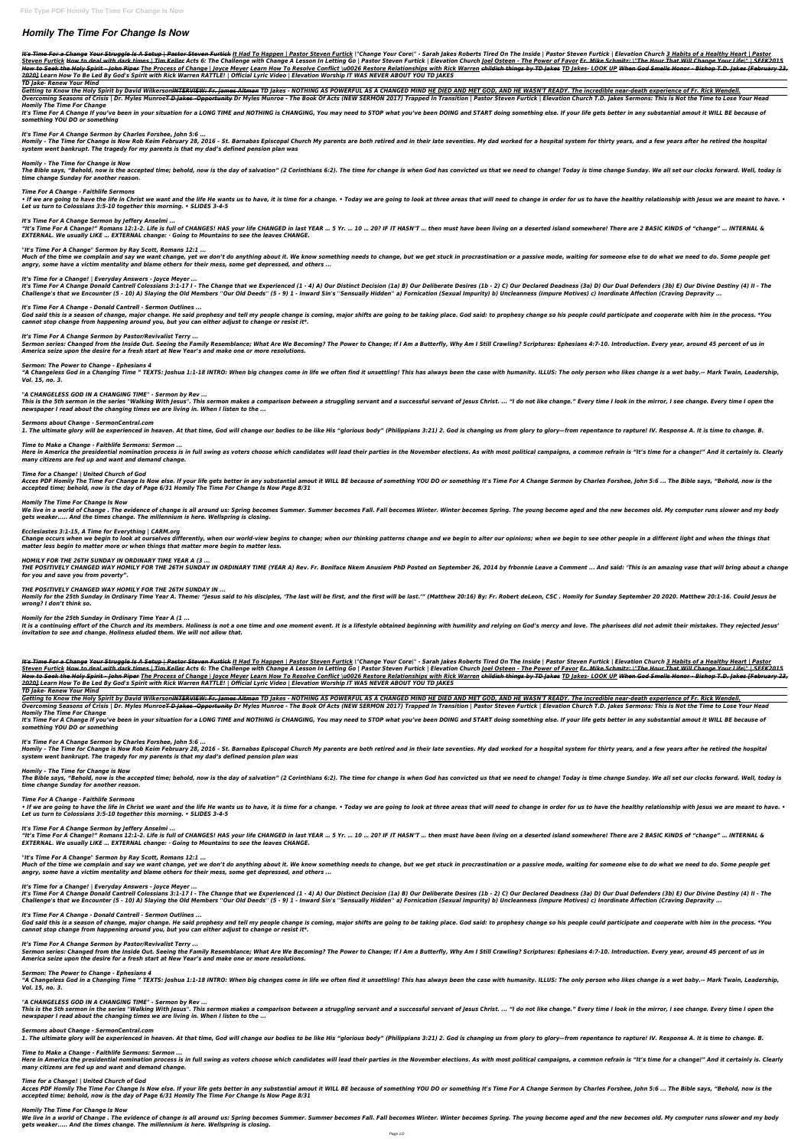# *Homily The Time For Change Is Now*

It's Time For a Change Your Struggle Is A Setup | Pastor Steven Furtick It Had To Happen | Pastor Steven Furtick | "Change Your Core|" - Sarah Jakes Roberts Tired On The Inside | Pastor Steven Furtick | Elevation Church 3 Steven Furtick How to deal with dark times | Tim Keller Acts 6: The Challenge with Change A Lesson In Letting Go | Pastor Steven Furtick | Elevation Church Joel Osteen - The Power of Favor Fr. Mike Schmitz: \"The Hour That How to Seek the Holy Spirit - John Piper The Process of Change | Joyce Meyer Learn How To Resolve Conflict \u0026 Restore Relationships with Rick Warren <del>childish things by TD Jakes</del> TD Jakes- LOOK UP <del>When God Smells Hono</del> *2020] Learn How To Be Led By God's Spirit with Rick Warren RATTLE! | Official Lyric Video | Elevation Worship IT WAS NEVER ABOUT YOU TD JAKES*

Overcoming Seasons of Crisis | Dr. Myles Munroe<del>T D Jakes -Opportunity</del> Dr Myles Munroe - The Book Of Acts (NEW SERMON 2017) Trapped In Transition | Pastor Steven Furtick | Elevation Church T.D. Jakes Sermons: This is Not *Homily The Time For Change*

It's Time For A Change If you've been in your situation for a LONG TIME and NOTHING is CHANGING, You may need to STOP what you've been DOING and START doing something else. If your life gets better in any substantial amout *something YOU DO or something*

#### *TD Jake- Renew Your Mind*

Getting to Know the Holy Spirit by David Wilkerson<del>INTERVIEW: Fr. James Altman</del> TD Jakes - NOTHING AS POWERFUL AS A CHANGED MIND <u>HE DIED AND MET GOD, AND HE WASN'T READY. The incredible near-death experience of Fr. Rick W</u>

Homily - The Time for Change is Now Rob Keim February 28, 2016 - St. Barnabas Episcopal Church My parents are both retired and in their late seventies. My dad worked for a hospital system for thirty years, and a few years *system went bankrupt. The tragedy for my parents is that my dad's defined pension plan was*

The Bible says, "Behold, now is the accepted time; behold, now is the day of salvation" (2 Corinthians 6:2). The time for change is when God has convicted us that we need to change! Today is time change Sunday. We all set *time change Sunday for another reason.*

• If we are going to have the life in Christ we want and the life He wants us to have, it is time for a change. • Today we are going to look at three areas that will need to change in order for us to have the healthy relat *Let us turn to Colossians 3:5-10 together this morning. • SLIDES 3-4-5*

"It's Time For A Change!" Romans 12:1-2. Life is full of CHANGES! HAS your life CHANGED in last YEAR ... 5 Yr. ... 10 ... 20? IF IT HASN'T ... then must have been living on a deserted island somewhere! There are 2 BASIC KI *EXTERNAL. We usually LIKE … EXTERNAL change: · Going to Mountains to see the leaves CHANGE.*

### *It's Time For A Change Sermon by Charles Forshee, John 5:6 ...*

Much of the time we complain and say we want change, yet we don't do anything about it. We know something needs to change, but we get stuck in procrastination or a passive mode, waiting for someone else to do what we need *angry, some have a victim mentality and blame others for their mess, some get depressed, and others ...*

### *Homily – The Time for Change is Now*

God said this is a season of change, major change. He said prophesy and tell my people change is coming, major shifts are going to be taking place. God said: to prophesy change so his people could participate and cooperate *cannot stop change from happening around you, but you can either adjust to change or resist it\*.*

Sermon series: Changed from the Inside Out. Seeing the Family Resemblance; What Are We Becoming? The Power to Change; If I Am a Butterfly, Why Am I Still Crawling? Scriptures: Ephesians 4:7-10. Introduction. Every year, ar *America seize upon the desire for a fresh start at New Year's and make one or more resolutions.*

### *Time For A Change - Faithlife Sermons*

"A Changeless God in a Changing Time " TEXTS: Joshua 1:1-18 INTRO: When big changes come in life we often find it unsettling! This has always been the case with humanity. ILLUS: The only person who likes change is a wet ba *Vol. 15, no. 3.*

This is the 5th sermon in the series "Walking With Jesus". This sermon makes a comparison between a struggling servant and a successful servant of Jesus Christ. ... "I do not like change." Every time I look in the mirror, *newspaper I read about the changing times we are living in. When I listen to the ...*

### *It's Time For A Change Sermon by Jeffery Anselmi ...*

Here in America the presidential nomination process is in full swing as voters choose which candidates will lead their parties in the November elections. As with most political campaigns, a common refrain is "It's time for *many citizens are fed up and want and demand change.*

# *"It's Time For A Change" Sermon by Ray Scott, Romans 12:1 ...*

Acces PDF Homily The Time For Change Is Now else. If your life gets better in any substantial amout it WILL BE because of something YOU DO or something It's Time For A Change Sermon by Charles Forshee, John 5:6 ... The Bib *accepted time; behold, now is the day of Page 6/31 Homily The Time For Change Is Now Page 8/31*

We live in a world of Change . The evidence of change is all around us: Spring becomes Summer, Summer becomes Fall, Fall becomes Winter, Winter becomes Spring, The voung become aged and the new becomes old. My computer run *gets weaker..... And the times change. The millennium is here. Wellspring is closing.*

### *It's Time for a Change! | Everyday Answers - Joyce Meyer ...*

It's Time For A Change Donald Cantrell Colossians 3:1-17 I - The Change that we Experienced (1 - 4) A) Our Distinct Decision (1a) B) Our Deliberate Desires (1b - 2) C) Our Declared Deadness (3a) D) Our Dual Defenders (3b) Challenge's that we Encounter (5 - 10) A) Slaying the Old Members "Our Old Deeds" (5 - 9) 1 - Inward Sin's "Sensually Hidden" a) Fornication (Sexual Impurity) b) Uncleanness (Impure Motives) c) Inordinate Affection (Cravin

Change occurs when we begin to look at ourselves differently, when our world-view begins to change; when our thinking patterns change and we begin to alter our opinions; when we begin to see other people in a different lig *matter less begin to matter more or when things that matter more begin to matter less.*

THE POSITIVELY CHANGED WAY HOMILY FOR THE 26TH SUNDAY IN ORDINARY TIME (YEAR A) Rev. Fr. Boniface Nkem Anusiem PhD Posted on September 26, 2014 by frbonnie Leave a Comment ... And said: 'This is an amazing vase that will b *for you and save you from poverty".*

Homily for the 25th Sunday in Ordinary Time Year A. Theme: "Jesus said to his disciples, 'The last will be first, and the first will be last.'" (Matthew 20:16) By: Fr. Robert deLeon, CSC . Homily for Sunday September 20 20 *wrong? I don't think so.*

### *It's Time For A Change - Donald Cantrell - Sermon Outlines ...*

It is a continuing effort of the Church and its members. Holiness is not a one time and one moment event. It is a lifestyle obtained beginning with humility and relying on God's mercy and love. The pharisees did not admit *invitation to see and change. Holiness eluded them. We will not allow that.*

### *It's Time For A Change Sermon by Pastor/Revivalist Terry ...*

It's Time For a Change Your Struggle Is A Setup | Pastor Steven Furtick It Had To Happen | Pastor Steven Furtick | "Change Your Core|" - Sarah Jakes Roberts Tired On The Inside | Pastor Steven Furtick | Elevation Church 3 Steven Furtick How to deal with dark times | Tim Keller Acts 6: The Challenge with Change A Lesson In Letting Go | Pastor Steven Furtick | Elevation Church Joel Osteen - The Power of Favor Fr. Mike Schmitz: \"The Hour That How to Seek the Holy Spirit - John Piper The Process of Change | Joyce Mever Learn How To Resolve Conflict \u0026 Restore Relationships with Rick Warren childish things by TD Jakes- IOOK UP When God Smells Honor - Bishop T *2020] Learn How To Be Led By God's Spirit with Rick Warren RATTLE! | Official Lyric Video | Elevation Worship IT WAS NEVER ABOUT YOU TD JAKES*

Overcoming Seasons of Crisis | Dr. Myles Munroe<del>T D Jakes -Opportunity</del> Dr Myles Munroe - The Book Of Acts (NEW SERMON 2017) Trapped In Transition | Pastor Steven Furtick | Elevation Church T.D. Jakes Sermons: This is Not *Homily The Time For Change*

### *Sermon: The Power to Change - Ephesians 4*

It's Time For A Change If you've been in your situation for a LONG TIME and NOTHING is CHANGING, You may need to STOP what you've been DOING and START doing something else. If your life gets better in any substantial amout *something YOU DO or something*

Homily - The Time for Change is Now Rob Keim February 28, 2016 - St. Barnabas Episcopal Church My parents are both retired and in their late seventies. My dad worked for a hospital system for thirty years, and a few years *system went bankrupt. The tragedy for my parents is that my dad's defined pension plan was*

### *"A CHANGELESS GOD IN A CHANGING TIME" - Sermon by Rev ...*

The Bible says, "Behold, now is the accepted time; behold, now is the day of salvation" (2 Corinthians 6:2). The time for change is when God has convicted us that we need to change! Today is time change Sunday. We all set *time change Sunday for another reason.*

• If we are going to have the life in Christ we want and the life He wants us to have, it is time for a change. • Today we are going to look at three areas that will need to change in order for us to have the healthy relat *Let us turn to Colossians 3:5-10 together this morning. • SLIDES 3-4-5*

### *Sermons about Change - SermonCentral.com*

1. The ultimate glory will be experienced in heaven. At that time, God will change our bodies to be like His "glorious body" (Philippians 3:21) 2. God is changing us from glory to glory—from repentance to rapture! IV. Resp

"It's Time For A Change!" Romans 12:1-2. Life is full of CHANGES! HAS your life CHANGED in last YEAR ... 5 Yr. ... 10 ... 20? IF IT HASN'T ... then must have been living on a deserted island somewhere! There are 2 BASIC KI *EXTERNAL. We usually LIKE … EXTERNAL change: · Going to Mountains to see the leaves CHANGE.*

# *Time to Make a Change - Faithlife Sermons: Sermon ...*

# *Time for a Change! | United Church of God*

God said this is a season of change, major change. He said prophesy and tell my people change is coming, major shifts are going to be taking place. God said: to prophesy change so his people could participate and cooperate *cannot stop change from happening around you, but you can either adjust to change or resist it\*.*

Sermon series: Changed from the Inside Out. Seeing the Family Resemblance; What Are We Becoming? The Power to Change; If I Am a Butterfly, Why Am I Still Crawling? Scriptures: Ephesians 4:7-10. Introduction. Every year, ar *America seize upon the desire for a fresh start at New Year's and make one or more resolutions.*

# *Homily The Time For Change Is Now*

"A Changeless God in a Changing Time " TEXTS: Joshua 1:1-18 INTRO: When big changes come in life we often find it unsettling! This has always been the case with humanity. ILLUS: The only person who likes change is a wet ba *Vol. 15, no. 3.*

This is the 5th sermon in the series "Walking With Jesus". This sermon makes a comparison between a struggling servant and a successful servant of Jesus Christ. ... "I do not like change." Every time I look in the mirror, *newspaper I read about the changing times we are living in. When I listen to the ...*

# *Ecclesiastes 3:1-15, A Time for Everything | CARM.org*

Here in America the presidential nomination process is in full swing as voters choose which candidates will lead their parties in the November elections. As with most political campaigns, a common refrain is "It's time for *many citizens are fed up and want and demand change.*

# *HOMILY FOR THE 26TH SUNDAY IN ORDINARY TIME YEAR A (3 ...*

Acces PDF Homily The Time For Change Is Now else. If your life gets better in any substantial amout it WILL BE because of something YOU DO or something It's Time For A Change Sermon by Charles Forshee, John 5:6 ... The Bib *accepted time; behold, now is the day of Page 6/31 Homily The Time For Change Is Now Page 8/31*

We live in a world of Change . The evidence of change is all around us: Spring becomes Summer. Summer becomes Fall. Fall becomes Winter. Winter becomes Spring. The young become aged and the new becomes old. My computer run *gets weaker..... And the times change. The millennium is here. Wellspring is closing.*

# *THE POSITIVELY CHANGED WAY HOMILY FOR THE 26TH SUNDAY IN ...*

# *Homily for the 25th Sunday in Ordinary Time Year A (1 ...*

# *TD Jake- Renew Your Mind*

Getting to Know the Holy Spirit by David Wilkerson<del>INTERVIEW: Fr. James Altman</del> TD Jakes - NOTHING AS POWERFUL AS A CHANGED MIND <u>HE DIED AND MET GOD, AND HE WASN'T READY. The incredible near-death experience of Fr. Rick W</u>

# *It's Time For A Change Sermon by Charles Forshee, John 5:6 ...*

# *Homily – The Time for Change is Now*

# *Time For A Change - Faithlife Sermons*

# *It's Time For A Change Sermon by Jeffery Anselmi ...*

# *"It's Time For A Change" Sermon by Ray Scott, Romans 12:1 ...*

Much of the time we complain and say we want change, yet we don't do anything about it. We know something needs to change, but we get stuck in procrastination or a passive mode, waiting for someone else to do what we need

*angry, some have a victim mentality and blame others for their mess, some get depressed, and others ...*

### *It's Time for a Change! | Everyday Answers - Joyce Meyer ...*

It's Time For A Change Donald Cantrell Colossians 3:1-17 I - The Change that we Experienced (1 - 4) A) Our Distinct Decision (1a) B) Our Deliberate Desires (1b - 2) C) Our Declared Deadness (3a) D) Our Dual Defenders (3b) Challenge's that we Encounter (5 - 10) A) Slaving the Old Members "Our Old Deeds" (5 - 9) 1 - Inward Sin's "Sensually Hidden" a) Fornication (Sexual Impurity) b) Uncleanness (Impure Motives) c) Inordinate Affection (Cravin

# *It's Time For A Change - Donald Cantrell - Sermon Outlines ...*

# *It's Time For A Change Sermon by Pastor/Revivalist Terry ...*

# *Sermon: The Power to Change - Ephesians 4*

### *"A CHANGELESS GOD IN A CHANGING TIME" - Sermon by Rev ...*

# *Sermons about Change - SermonCentral.com*

1. The ultimate glory will be experienced in heaven. At that time, God will change our bodies to be like His "glorious body" (Philippians 3:21) 2. God is changing us from glory to glory—from repentance to rapture! IV. Resp

# *Time to Make a Change - Faithlife Sermons: Sermon ...*

# *Time for a Change! | United Church of God*

# *Homily The Time For Change Is Now*